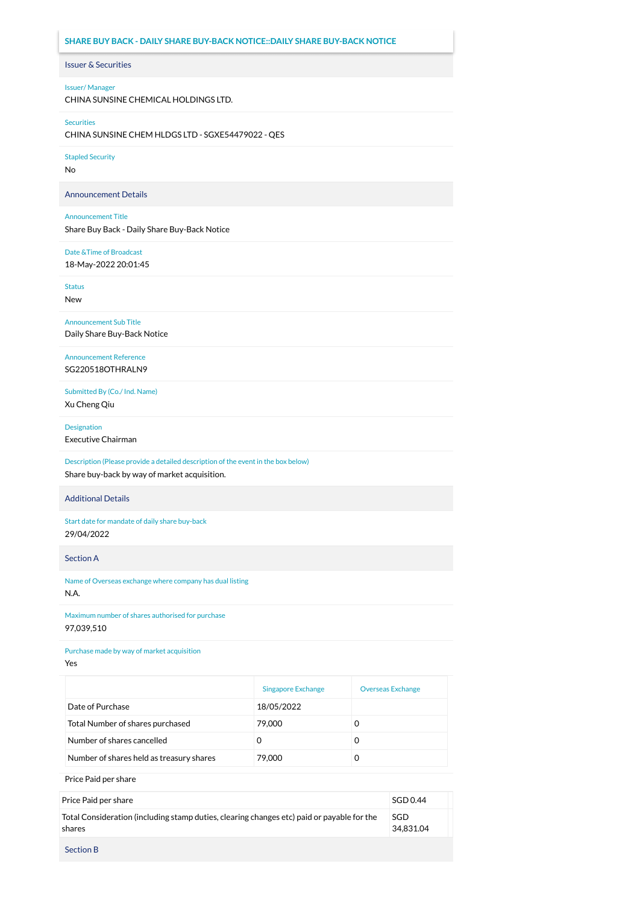## Issuer & Securities Issuer/ Manager **SHARE BUY BACK - DAILY SHARE BUY-BACK NOTICE::DAILY SHARE BUY-BACK NOTICE**

CHINA SUNSINE CHEMICAL HOLDINGS LTD.

## Securities

CHINA SUNSINE CHEM HLDGS LTD - SGXE54479022 - QES

Stapled Security

No

Announcement Details

## Announcement Title

Share Buy Back - Daily Share Buy-Back Notice

Date &Time of Broadcast

18-May-2022 20:01:45

Status

New

Announcement Sub Title Daily Share Buy-Back Notice

Announcement Reference SG220518OTHRALN9

Submitted By (Co./ Ind. Name) Xu Cheng Qiu

Designation

Executive Chairman

Description (Please provide a detailed description of the event in the box below) Share buy-back by way of market acquisition.

Additional Details

Start date for mandate of daily share buy-back 29/04/2022

Section A

Name of Overseas exchange where company has dual listing N.A.

Maximum number of shares authorised for purchase 97,039,510

Purchase made by way of market acquisition

Yes

|                                          | <b>Singapore Exchange</b> | <b>Overseas Exchange</b> |
|------------------------------------------|---------------------------|--------------------------|
| Date of Purchase                         | 18/05/2022                |                          |
| Total Number of shares purchased         | 79,000                    |                          |
| Number of shares cancelled               | 0                         |                          |
| Number of shares held as treasury shares | 79,000                    |                          |

Price Paid per share

| Price Paid per share                                                                                 | SGD 0.44         |
|------------------------------------------------------------------------------------------------------|------------------|
| Total Consideration (including stamp duties, clearing changes etc) paid or payable for the<br>shares | SGD<br>34.831.04 |
| <b>Section B</b>                                                                                     |                  |